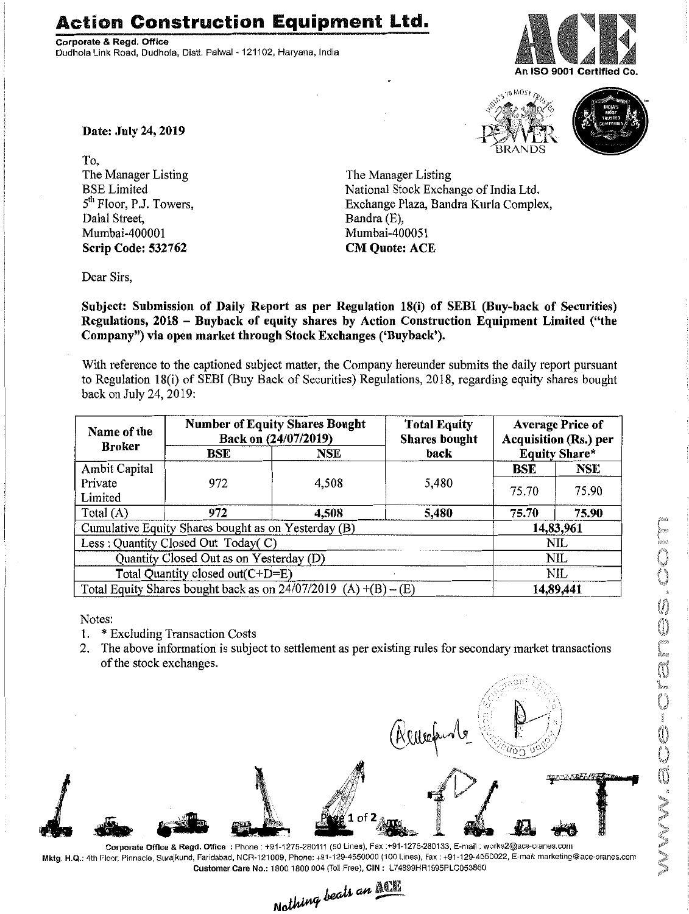## **Action Construction Equipment Ltd.**

Corporate & Regd. Office Dudhola Link Road, Dudhola, Distt. Palwal - 121102, Haryana, India







Date: July 24, 2019

To, The Manager Listing BSE Limited 5<sup>th</sup> Floor, P.J. Towers, Dalal Street, Mumbai-40000 1 Scrip Code: 532762

The Manager Listing National Stock Exchange of India Ltd. Exchange Plaza, Bandra Kurla Complex, Bandra (E), Mumbai-400051 CM Quote: ACE

Dear Sirs,

Subject: Submission of Daily Report as per Regulation 18(i) of SEBI (Buy-back of Securities) Regulations, 2018 - Buyback of equity shares by Action Construction Equipment Limited ("the Company") via open market through Stock Exchanges ('Buyback').

With reference to the captioned subject matter, the Company hereunder submits the daily report pursuant to Regulation 18(i) of SEBI (Buy Back of Securities) Regulations, 2018, regarding equity shares bought back on July 24,2019:

| Name of the<br><b>Broker</b>                                        | <b>Number of Equity Shares Bought</b><br>Back on (24/07/2019) |       | <b>Total Equity</b><br><b>Shares bought</b> | <b>Average Price of</b><br><b>Acquisition (Rs.) per</b> |            |
|---------------------------------------------------------------------|---------------------------------------------------------------|-------|---------------------------------------------|---------------------------------------------------------|------------|
|                                                                     | BSE                                                           | NSE   | back                                        | <b>Equity Share*</b>                                    |            |
| Ambit Capital                                                       |                                                               |       |                                             | <b>BSE</b>                                              | <b>NSE</b> |
| Private                                                             | 972                                                           | 4,508 | 5,480                                       | 75.70                                                   | 75.90      |
| Limited                                                             |                                                               |       |                                             |                                                         |            |
| Total $(A)$                                                         | 972                                                           | 4,508 | 5,480                                       | 75.70                                                   | 75.90      |
| Cumulative Equity Shares bought as on Yesterday (B)                 |                                                               |       |                                             | 14,83,961                                               |            |
| Less: Quantity Closed Out Today(C)                                  |                                                               |       |                                             | <b>NIL</b>                                              |            |
| Quantity Closed Out as on Yesterday (D)                             |                                                               |       |                                             | NIL                                                     |            |
| Total Quantity closed out(C+D=E)                                    |                                                               |       |                                             | NIL                                                     |            |
| Total Equity Shares bought back as on $24/07/2019$ (A) $+(B) - (E)$ |                                                               |       |                                             | 14,89,441                                               |            |

Notes:

- 1. \* Excluding Transaction Costs
- 2. The above information is subject to settlement as per existing rules for secondary market transactions of the stock exchanges.



Corporate Office & Regd. Office: Phone: +91-1275-280111 (50 Lines), Fax:+91-1275-280133, E-mail: works2@ace-cranes.com Mktg. H.Q.: 4th Floor. Pinnacle, Surajkund, Faridabad, NCR-121009, Phone: +91-129-4550000 (100 lines). Fax: +91-129-4550022, E-mail: marketing@ace-cranes.com

Customer Care No.: 1800 1800 004 (Toll Free), CIN: L74899HR1995PLC053860<br>Nothing beats an **Allie**